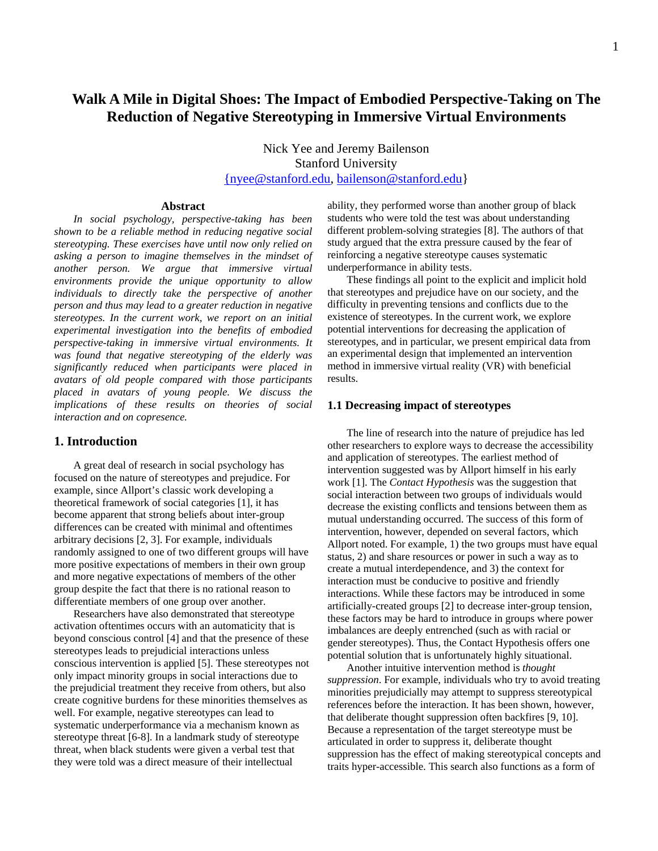# **Walk A Mile in Digital Shoes: The Impact of Embodied Perspective-Taking on The Reduction of Negative Stereotyping in Immersive Virtual Environments**

Nick Yee and Jeremy Bailenson Stanford University {nyee@stanford.edu, bailenson@stanford.edu}

#### **Abstract**

*In social psychology, perspective-taking has been shown to be a reliable method in reducing negative social stereotyping. These exercises have until now only relied on asking a person to imagine themselves in the mindset of another person. We argue that immersive virtual environments provide the unique opportunity to allow individuals to directly take the perspective of another person and thus may lead to a greater reduction in negative stereotypes. In the current work, we report on an initial experimental investigation into the benefits of embodied perspective-taking in immersive virtual environments. It was found that negative stereotyping of the elderly was significantly reduced when participants were placed in avatars of old people compared with those participants placed in avatars of young people. We discuss the implications of these results on theories of social interaction and on copresence.* 

## **1. Introduction**

A great deal of research in social psychology has focused on the nature of stereotypes and prejudice. For example, since Allport's classic work developing a theoretical framework of social categories [1], it has become apparent that strong beliefs about inter-group differences can be created with minimal and oftentimes arbitrary decisions [2, 3]. For example, individuals randomly assigned to one of two different groups will have more positive expectations of members in their own group and more negative expectations of members of the other group despite the fact that there is no rational reason to differentiate members of one group over another.

Researchers have also demonstrated that stereotype activation oftentimes occurs with an automaticity that is beyond conscious control [4] and that the presence of these stereotypes leads to prejudicial interactions unless conscious intervention is applied [5]. These stereotypes not only impact minority groups in social interactions due to the prejudicial treatment they receive from others, but also create cognitive burdens for these minorities themselves as well. For example, negative stereotypes can lead to systematic underperformance via a mechanism known as stereotype threat [6-8]. In a landmark study of stereotype threat, when black students were given a verbal test that they were told was a direct measure of their intellectual

ability, they performed worse than another group of black students who were told the test was about understanding different problem-solving strategies [8]. The authors of that study argued that the extra pressure caused by the fear of reinforcing a negative stereotype causes systematic underperformance in ability tests.

These findings all point to the explicit and implicit hold that stereotypes and prejudice have on our society, and the difficulty in preventing tensions and conflicts due to the existence of stereotypes. In the current work, we explore potential interventions for decreasing the application of stereotypes, and in particular, we present empirical data from an experimental design that implemented an intervention method in immersive virtual reality (VR) with beneficial results.

#### **1.1 Decreasing impact of stereotypes**

The line of research into the nature of prejudice has led other researchers to explore ways to decrease the accessibility and application of stereotypes. The earliest method of intervention suggested was by Allport himself in his early work [1]. The *Contact Hypothesis* was the suggestion that social interaction between two groups of individuals would decrease the existing conflicts and tensions between them as mutual understanding occurred. The success of this form of intervention, however, depended on several factors, which Allport noted. For example, 1) the two groups must have equal status, 2) and share resources or power in such a way as to create a mutual interdependence, and 3) the context for interaction must be conducive to positive and friendly interactions. While these factors may be introduced in some artificially-created groups [2] to decrease inter-group tension, these factors may be hard to introduce in groups where power imbalances are deeply entrenched (such as with racial or gender stereotypes). Thus, the Contact Hypothesis offers one potential solution that is unfortunately highly situational.

Another intuitive intervention method is *thought suppression*. For example, individuals who try to avoid treating minorities prejudicially may attempt to suppress stereotypical references before the interaction. It has been shown, however, that deliberate thought suppression often backfires [9, 10]. Because a representation of the target stereotype must be articulated in order to suppress it, deliberate thought suppression has the effect of making stereotypical concepts and traits hyper-accessible. This search also functions as a form of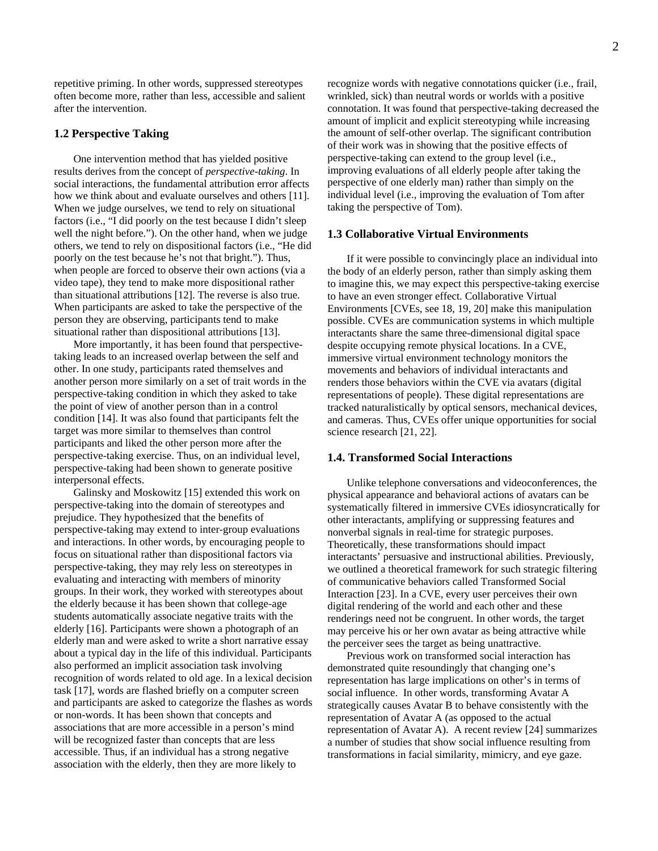repetitive priming. In other words, suppressed stereotypes often become more, rather than less, accessible and salient after the intervention.

#### **1.2 Perspective Taking**

One intervention method that has yielded positive results derives from the concept of *perspective-taking*. In social interactions, the fundamental attribution error affects how we think about and evaluate ourselves and others [11]. When we judge ourselves, we tend to rely on situational factors (i.e., "I did poorly on the test because I didn't sleep well the night before."). On the other hand, when we judge others, we tend to rely on dispositional factors (i.e., "He did poorly on the test because he's not that bright."). Thus, when people are forced to observe their own actions (via a video tape), they tend to make more dispositional rather than situational attributions [12]. The reverse is also true. When participants are asked to take the perspective of the person they are observing, participants tend to make situational rather than dispositional attributions [13].

More importantly, it has been found that perspectivetaking leads to an increased overlap between the self and other. In one study, participants rated themselves and another person more similarly on a set of trait words in the perspective-taking condition in which they asked to take the point of view of another person than in a control condition [14]. It was also found that participants felt the target was more similar to themselves than control participants and liked the other person more after the perspective-taking exercise. Thus, on an individual level, perspective-taking had been shown to generate positive interpersonal effects.

Galinsky and Moskowitz [15] extended this work on perspective-taking into the domain of stereotypes and prejudice. They hypothesized that the benefits of perspective-taking may extend to inter-group evaluations and interactions. In other words, by encouraging people to focus on situational rather than dispositional factors via perspective-taking, they may rely less on stereotypes in evaluating and interacting with members of minority groups. In their work, they worked with stereotypes about the elderly because it has been shown that college-age students automatically associate negative traits with the elderly [16]. Participants were shown a photograph of an elderly man and were asked to write a short narrative essay about a typical day in the life of this individual. Participants also performed an implicit association task involving recognition of words related to old age. In a lexical decision task [17], words are flashed briefly on a computer screen and participants are asked to categorize the flashes as words or non-words. It has been shown that concepts and associations that are more accessible in a person's mind will be recognized faster than concepts that are less accessible. Thus, if an individual has a strong negative association with the elderly, then they are more likely to

recognize words with negative connotations quicker (i.e., frail, wrinkled, sick) than neutral words or worlds with a positive connotation. It was found that perspective-taking decreased the amount of implicit and explicit stereotyping while increasing the amount of self-other overlap. The significant contribution of their work was in showing that the positive effects of perspective-taking can extend to the group level (i.e., improving evaluations of all elderly people after taking the perspective of one elderly man) rather than simply on the individual level (i.e., improving the evaluation of Tom after taking the perspective of Tom).

### **1.3 Collaborative Virtual Environments**

If it were possible to convincingly place an individual into the body of an elderly person, rather than simply asking them to imagine this, we may expect this perspective-taking exercise to have an even stronger effect. Collaborative Virtual Environments [CVEs, see 18, 19, 20] make this manipulation possible. CVEs are communication systems in which multiple interactants share the same three-dimensional digital space despite occupying remote physical locations. In a CVE, immersive virtual environment technology monitors the movements and behaviors of individual interactants and renders those behaviors within the CVE via avatars (digital representations of people). These digital representations are tracked naturalistically by optical sensors, mechanical devices, and cameras. Thus, CVEs offer unique opportunities for social science research [21, 22].

#### **1.4. Transformed Social Interactions**

Unlike telephone conversations and videoconferences, the physical appearance and behavioral actions of avatars can be systematically filtered in immersive CVEs idiosyncratically for other interactants, amplifying or suppressing features and nonverbal signals in real-time for strategic purposes. Theoretically, these transformations should impact interactants' persuasive and instructional abilities. Previously, we outlined a theoretical framework for such strategic filtering of communicative behaviors called Transformed Social Interaction [23]. In a CVE, every user perceives their own digital rendering of the world and each other and these renderings need not be congruent. In other words, the target may perceive his or her own avatar as being attractive while the perceiver sees the target as being unattractive.

Previous work on transformed social interaction has demonstrated quite resoundingly that changing one's representation has large implications on other's in terms of social influence. In other words, transforming Avatar A strategically causes Avatar B to behave consistently with the representation of Avatar A (as opposed to the actual representation of Avatar A). A recent review [24] summarizes a number of studies that show social influence resulting from transformations in facial similarity, mimicry, and eye gaze.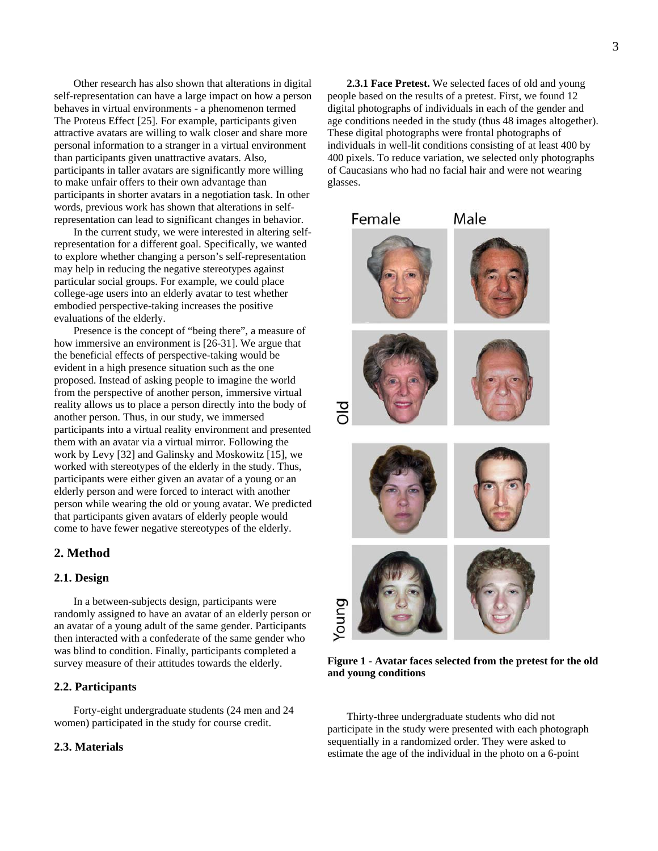Other research has also shown that alterations in digital self-representation can have a large impact on how a person behaves in virtual environments - a phenomenon termed The Proteus Effect [25]. For example, participants given attractive avatars are willing to walk closer and share more personal information to a stranger in a virtual environment than participants given unattractive avatars. Also, participants in taller avatars are significantly more willing to make unfair offers to their own advantage than participants in shorter avatars in a negotiation task. In other words, previous work has shown that alterations in selfrepresentation can lead to significant changes in behavior.

In the current study, we were interested in altering selfrepresentation for a different goal. Specifically, we wanted to explore whether changing a person's self-representation may help in reducing the negative stereotypes against particular social groups. For example, we could place college-age users into an elderly avatar to test whether embodied perspective-taking increases the positive evaluations of the elderly.

Presence is the concept of "being there", a measure of how immersive an environment is [26-31]. We argue that the beneficial effects of perspective-taking would be evident in a high presence situation such as the one proposed. Instead of asking people to imagine the world from the perspective of another person, immersive virtual reality allows us to place a person directly into the body of another person. Thus, in our study, we immersed participants into a virtual reality environment and presented them with an avatar via a virtual mirror. Following the work by Levy [32] and Galinsky and Moskowitz [15], we worked with stereotypes of the elderly in the study. Thus, participants were either given an avatar of a young or an elderly person and were forced to interact with another person while wearing the old or young avatar. We predicted that participants given avatars of elderly people would come to have fewer negative stereotypes of the elderly.

## **2. Method**

## **2.1. Design**

In a between-subjects design, participants were randomly assigned to have an avatar of an elderly person or an avatar of a young adult of the same gender. Participants then interacted with a confederate of the same gender who was blind to condition. Finally, participants completed a survey measure of their attitudes towards the elderly.

## **2.2. Participants**

Forty-eight undergraduate students (24 men and 24 women) participated in the study for course credit.

# **2.3. Materials**

**2.3.1 Face Pretest.** We selected faces of old and young

people based on the results of a pretest. First, we found 12 digital photographs of individuals in each of the gender and age conditions needed in the study (thus 48 images altogether). These digital photographs were frontal photographs of individuals in well-lit conditions consisting of at least 400 by 400 pixels. To reduce variation, we selected only photographs of Caucasians who had no facial hair and were not wearing glasses.



**Figure 1 - Avatar faces selected from the pretest for the old and young conditions** 

Thirty-three undergraduate students who did not participate in the study were presented with each photograph sequentially in a randomized order. They were asked to estimate the age of the individual in the photo on a 6-point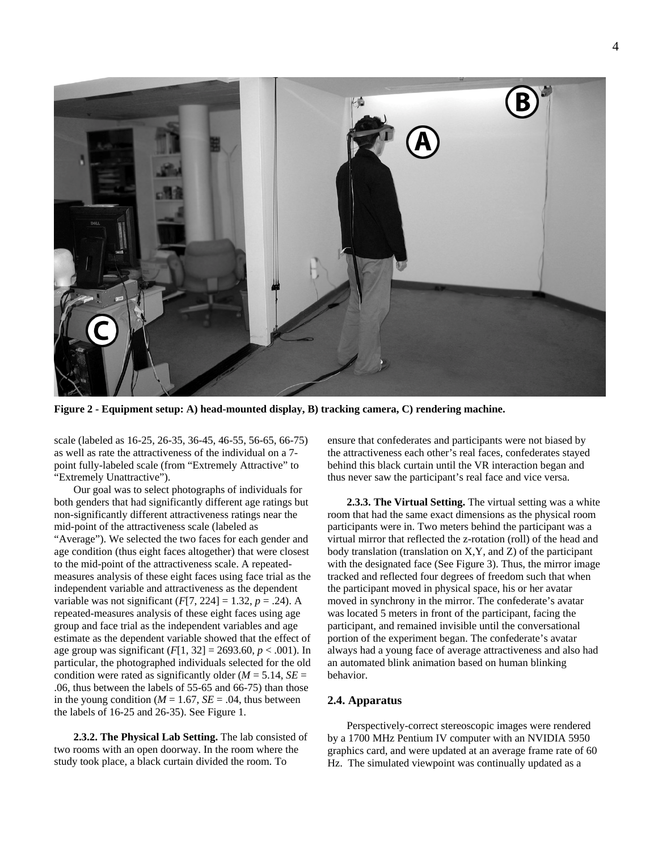

**Figure 2 - Equipment setup: A) head-mounted display, B) tracking camera, C) rendering machine.** 

scale (labeled as 16-25, 26-35, 36-45, 46-55, 56-65, 66-75) as well as rate the attractiveness of the individual on a 7 point fully-labeled scale (from "Extremely Attractive" to "Extremely Unattractive").

Our goal was to select photographs of individuals for both genders that had significantly different age ratings but non-significantly different attractiveness ratings near the mid-point of the attractiveness scale (labeled as "Average"). We selected the two faces for each gender and age condition (thus eight faces altogether) that were closest to the mid-point of the attractiveness scale. A repeatedmeasures analysis of these eight faces using face trial as the independent variable and attractiveness as the dependent variable was not significant  $(F[7, 224] = 1.32, p = .24)$ . A repeated-measures analysis of these eight faces using age group and face trial as the independent variables and age estimate as the dependent variable showed that the effect of age group was significant  $(F[1, 32] = 2693.60, p < .001)$ . In particular, the photographed individuals selected for the old condition were rated as significantly older ( $M = 5.14$ ,  $SE =$ .06, thus between the labels of 55-65 and 66-75) than those in the young condition ( $M = 1.67$ ,  $SE = .04$ , thus between the labels of 16-25 and 26-35). See Figure 1.

**2.3.2. The Physical Lab Setting.** The lab consisted of two rooms with an open doorway. In the room where the study took place, a black curtain divided the room. To

ensure that confederates and participants were not biased by the attractiveness each other's real faces, confederates stayed behind this black curtain until the VR interaction began and thus never saw the participant's real face and vice versa.

**2.3.3. The Virtual Setting.** The virtual setting was a white room that had the same exact dimensions as the physical room participants were in. Two meters behind the participant was a virtual mirror that reflected the z-rotation (roll) of the head and body translation (translation on X,Y, and Z) of the participant with the designated face (See Figure 3). Thus, the mirror image tracked and reflected four degrees of freedom such that when the participant moved in physical space, his or her avatar moved in synchrony in the mirror. The confederate's avatar was located 5 meters in front of the participant, facing the participant, and remained invisible until the conversational portion of the experiment began. The confederate's avatar always had a young face of average attractiveness and also had an automated blink animation based on human blinking behavior.

#### **2.4. Apparatus**

Perspectively-correct stereoscopic images were rendered by a 1700 MHz Pentium IV computer with an NVIDIA 5950 graphics card, and were updated at an average frame rate of 60 Hz. The simulated viewpoint was continually updated as a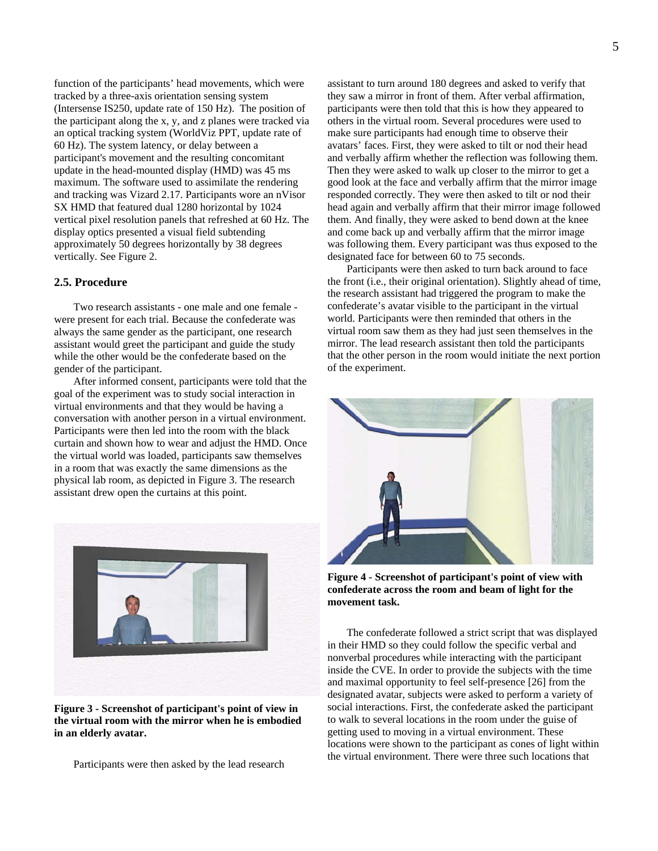function of the participants' head movements, which were tracked by a three-axis orientation sensing system (Intersense IS250, update rate of 150 Hz). The position of the participant along the x, y, and z planes were tracked via an optical tracking system (WorldViz PPT, update rate of 60 Hz). The system latency, or delay between a participant's movement and the resulting concomitant update in the head-mounted display (HMD) was 45 ms maximum. The software used to assimilate the rendering and tracking was Vizard 2.17. Participants wore an nVisor SX HMD that featured dual 1280 horizontal by 1024 vertical pixel resolution panels that refreshed at 60 Hz. The display optics presented a visual field subtending approximately 50 degrees horizontally by 38 degrees vertically. See Figure 2.

## **2.5. Procedure**

Two research assistants - one male and one female were present for each trial. Because the confederate was always the same gender as the participant, one research assistant would greet the participant and guide the study while the other would be the confederate based on the gender of the participant.

After informed consent, participants were told that the goal of the experiment was to study social interaction in virtual environments and that they would be having a conversation with another person in a virtual environment. Participants were then led into the room with the black curtain and shown how to wear and adjust the HMD. Once the virtual world was loaded, participants saw themselves in a room that was exactly the same dimensions as the physical lab room, as depicted in Figure 3. The research assistant drew open the curtains at this point.



**Figure 3 - Screenshot of participant's point of view in the virtual room with the mirror when he is embodied in an elderly avatar.** 

Participants were then asked by the lead research

assistant to turn around 180 degrees and asked to verify that they saw a mirror in front of them. After verbal affirmation, participants were then told that this is how they appeared to others in the virtual room. Several procedures were used to make sure participants had enough time to observe their avatars' faces. First, they were asked to tilt or nod their head and verbally affirm whether the reflection was following them. Then they were asked to walk up closer to the mirror to get a good look at the face and verbally affirm that the mirror image responded correctly. They were then asked to tilt or nod their head again and verbally affirm that their mirror image followed them. And finally, they were asked to bend down at the knee and come back up and verbally affirm that the mirror image was following them. Every participant was thus exposed to the designated face for between 60 to 75 seconds.

Participants were then asked to turn back around to face the front (i.e., their original orientation). Slightly ahead of time, the research assistant had triggered the program to make the confederate's avatar visible to the participant in the virtual world. Participants were then reminded that others in the virtual room saw them as they had just seen themselves in the mirror. The lead research assistant then told the participants that the other person in the room would initiate the next portion of the experiment.



**Figure 4 - Screenshot of participant's point of view with confederate across the room and beam of light for the movement task.** 

The confederate followed a strict script that was displayed in their HMD so they could follow the specific verbal and nonverbal procedures while interacting with the participant inside the CVE. In order to provide the subjects with the time and maximal opportunity to feel self-presence [26] from the designated avatar, subjects were asked to perform a variety of social interactions. First, the confederate asked the participant to walk to several locations in the room under the guise of getting used to moving in a virtual environment. These locations were shown to the participant as cones of light within the virtual environment. There were three such locations that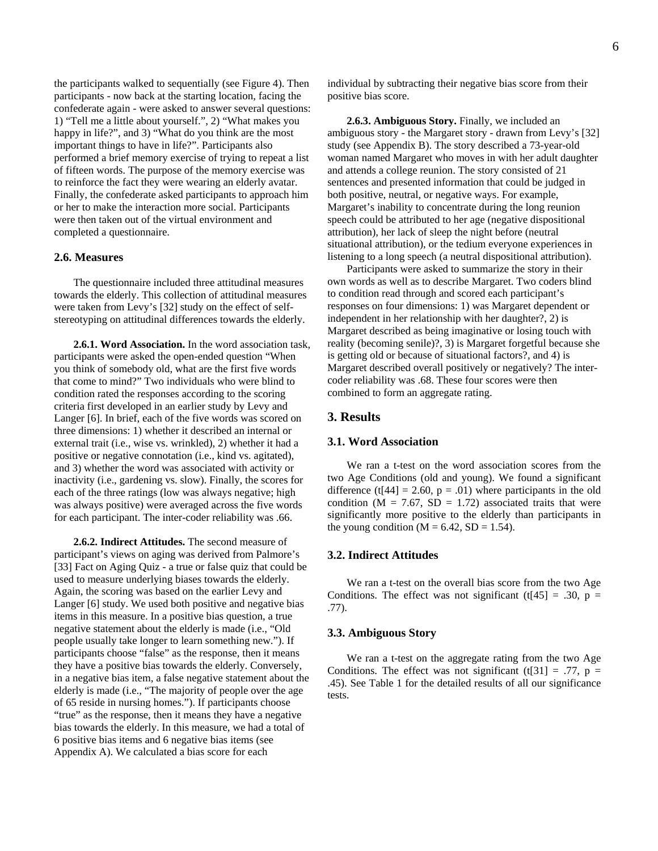the participants walked to sequentially (see Figure 4). Then participants - now back at the starting location, facing the confederate again - were asked to answer several questions: 1) "Tell me a little about yourself.", 2) "What makes you happy in life?", and 3) "What do you think are the most important things to have in life?". Participants also performed a brief memory exercise of trying to repeat a list of fifteen words. The purpose of the memory exercise was to reinforce the fact they were wearing an elderly avatar. Finally, the confederate asked participants to approach him or her to make the interaction more social. Participants were then taken out of the virtual environment and completed a questionnaire.

#### **2.6. Measures**

The questionnaire included three attitudinal measures towards the elderly. This collection of attitudinal measures were taken from Levy's [32] study on the effect of selfstereotyping on attitudinal differences towards the elderly.

**2.6.1. Word Association.** In the word association task, participants were asked the open-ended question "When you think of somebody old, what are the first five words that come to mind?" Two individuals who were blind to condition rated the responses according to the scoring criteria first developed in an earlier study by Levy and Langer [6]. In brief, each of the five words was scored on three dimensions: 1) whether it described an internal or external trait (i.e., wise vs. wrinkled), 2) whether it had a positive or negative connotation (i.e., kind vs. agitated), and 3) whether the word was associated with activity or inactivity (i.e., gardening vs. slow). Finally, the scores for each of the three ratings (low was always negative; high was always positive) were averaged across the five words for each participant. The inter-coder reliability was .66.

**2.6.2. Indirect Attitudes.** The second measure of participant's views on aging was derived from Palmore's [33] Fact on Aging Quiz - a true or false quiz that could be used to measure underlying biases towards the elderly. Again, the scoring was based on the earlier Levy and Langer [6] study. We used both positive and negative bias items in this measure. In a positive bias question, a true negative statement about the elderly is made (i.e., "Old people usually take longer to learn something new."). If participants choose "false" as the response, then it means they have a positive bias towards the elderly. Conversely, in a negative bias item, a false negative statement about the elderly is made (i.e., "The majority of people over the age of 65 reside in nursing homes."). If participants choose "true" as the response, then it means they have a negative bias towards the elderly. In this measure, we had a total of 6 positive bias items and 6 negative bias items (see Appendix A). We calculated a bias score for each

individual by subtracting their negative bias score from their positive bias score.

**2.6.3. Ambiguous Story.** Finally, we included an ambiguous story - the Margaret story - drawn from Levy's [32] study (see Appendix B). The story described a 73-year-old woman named Margaret who moves in with her adult daughter and attends a college reunion. The story consisted of 21 sentences and presented information that could be judged in both positive, neutral, or negative ways. For example, Margaret's inability to concentrate during the long reunion speech could be attributed to her age (negative dispositional attribution), her lack of sleep the night before (neutral situational attribution), or the tedium everyone experiences in listening to a long speech (a neutral dispositional attribution).

Participants were asked to summarize the story in their own words as well as to describe Margaret. Two coders blind to condition read through and scored each participant's responses on four dimensions: 1) was Margaret dependent or independent in her relationship with her daughter?, 2) is Margaret described as being imaginative or losing touch with reality (becoming senile)?, 3) is Margaret forgetful because she is getting old or because of situational factors?, and 4) is Margaret described overall positively or negatively? The intercoder reliability was .68. These four scores were then combined to form an aggregate rating.

## **3. Results**

#### **3.1. Word Association**

We ran a t-test on the word association scores from the two Age Conditions (old and young). We found a significant difference (t[44] = 2.60,  $p = .01$ ) where participants in the old condition ( $M = 7.67$ ,  $SD = 1.72$ ) associated traits that were significantly more positive to the elderly than participants in the young condition ( $M = 6.42$ ,  $SD = 1.54$ ).

## **3.2. Indirect Attitudes**

We ran a t-test on the overall bias score from the two Age Conditions. The effect was not significant (t[45] = .30,  $p =$ .77).

## **3.3. Ambiguous Story**

We ran a t-test on the aggregate rating from the two Age Conditions. The effect was not significant (t[31] = .77,  $p =$ .45). See Table 1 for the detailed results of all our significance tests.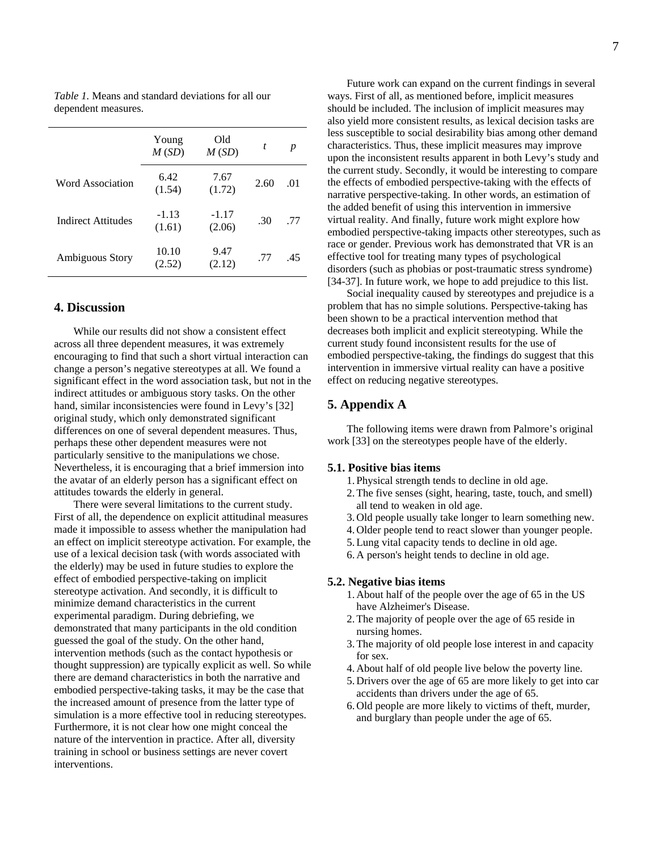|                    | Young<br>M(SD)    | Old<br>M(SD)      | t    | p   |
|--------------------|-------------------|-------------------|------|-----|
| Word Association   | 6.42<br>(1.54)    | 7.67<br>(1.72)    | 2.60 | .01 |
| Indirect Attitudes | $-1.13$<br>(1.61) | $-1.17$<br>(2.06) | .30  | .77 |
| Ambiguous Story    | 10.10<br>(2.52)   | 9.47<br>(2.12)    | .77  | .45 |

*Table 1.* Means and standard deviations for all our dependent measures.

# **4. Discussion**

While our results did not show a consistent effect across all three dependent measures, it was extremely encouraging to find that such a short virtual interaction can change a person's negative stereotypes at all. We found a significant effect in the word association task, but not in the indirect attitudes or ambiguous story tasks. On the other hand, similar inconsistencies were found in Levy's [32] original study, which only demonstrated significant differences on one of several dependent measures. Thus, perhaps these other dependent measures were not particularly sensitive to the manipulations we chose. Nevertheless, it is encouraging that a brief immersion into the avatar of an elderly person has a significant effect on attitudes towards the elderly in general.

There were several limitations to the current study. First of all, the dependence on explicit attitudinal measures made it impossible to assess whether the manipulation had an effect on implicit stereotype activation. For example, the use of a lexical decision task (with words associated with the elderly) may be used in future studies to explore the effect of embodied perspective-taking on implicit stereotype activation. And secondly, it is difficult to minimize demand characteristics in the current experimental paradigm. During debriefing, we demonstrated that many participants in the old condition guessed the goal of the study. On the other hand, intervention methods (such as the contact hypothesis or thought suppression) are typically explicit as well. So while there are demand characteristics in both the narrative and embodied perspective-taking tasks, it may be the case that the increased amount of presence from the latter type of simulation is a more effective tool in reducing stereotypes. Furthermore, it is not clear how one might conceal the nature of the intervention in practice. After all, diversity training in school or business settings are never covert interventions.

Future work can expand on the current findings in several ways. First of all, as mentioned before, implicit measures should be included. The inclusion of implicit measures may also yield more consistent results, as lexical decision tasks are less susceptible to social desirability bias among other demand characteristics. Thus, these implicit measures may improve upon the inconsistent results apparent in both Levy's study and the current study. Secondly, it would be interesting to compare the effects of embodied perspective-taking with the effects of narrative perspective-taking. In other words, an estimation of the added benefit of using this intervention in immersive virtual reality. And finally, future work might explore how embodied perspective-taking impacts other stereotypes, such as race or gender. Previous work has demonstrated that VR is an effective tool for treating many types of psychological disorders (such as phobias or post-traumatic stress syndrome) [34-37]. In future work, we hope to add prejudice to this list.

Social inequality caused by stereotypes and prejudice is a problem that has no simple solutions. Perspective-taking has been shown to be a practical intervention method that decreases both implicit and explicit stereotyping. While the current study found inconsistent results for the use of embodied perspective-taking, the findings do suggest that this intervention in immersive virtual reality can have a positive effect on reducing negative stereotypes.

# **5. Appendix A**

The following items were drawn from Palmore's original work [33] on the stereotypes people have of the elderly.

#### **5.1. Positive bias items**

- 1. Physical strength tends to decline in old age.
- 2.The five senses (sight, hearing, taste, touch, and smell) all tend to weaken in old age.
- 3. Old people usually take longer to learn something new.
- 4. Older people tend to react slower than younger people.
- 5.Lung vital capacity tends to decline in old age.
- 6. A person's height tends to decline in old age.

#### **5.2. Negative bias items**

- 1. About half of the people over the age of 65 in the US have Alzheimer's Disease.
- 2.The majority of people over the age of 65 reside in nursing homes.
- 3.The majority of old people lose interest in and capacity for sex.
- 4. About half of old people live below the poverty line.
- 5. Drivers over the age of 65 are more likely to get into car accidents than drivers under the age of 65.
- 6. Old people are more likely to victims of theft, murder, and burglary than people under the age of 65.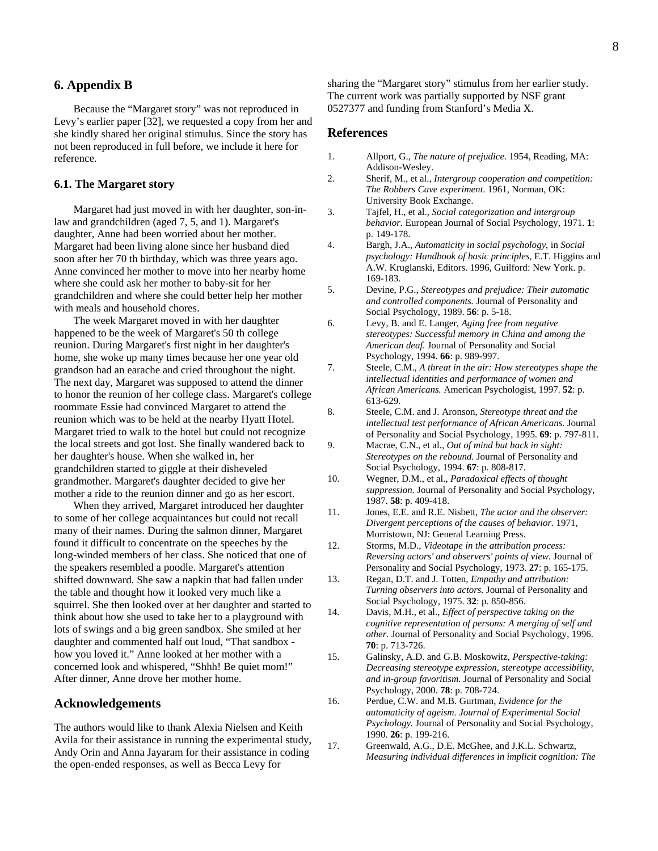# **6. Appendix B**

Because the "Margaret story" was not reproduced in Levy's earlier paper [32], we requested a copy from her and she kindly shared her original stimulus. Since the story has not been reproduced in full before, we include it here for reference.

#### **6.1. The Margaret story**

Margaret had just moved in with her daughter, son-inlaw and grandchildren (aged 7, 5, and 1). Margaret's daughter, Anne had been worried about her mother. Margaret had been living alone since her husband died soon after her 70 th birthday, which was three years ago. Anne convinced her mother to move into her nearby home where she could ask her mother to baby-sit for her grandchildren and where she could better help her mother with meals and household chores.

The week Margaret moved in with her daughter happened to be the week of Margaret's 50 th college reunion. During Margaret's first night in her daughter's home, she woke up many times because her one year old grandson had an earache and cried throughout the night. The next day, Margaret was supposed to attend the dinner to honor the reunion of her college class. Margaret's college roommate Essie had convinced Margaret to attend the reunion which was to be held at the nearby Hyatt Hotel. Margaret tried to walk to the hotel but could not recognize the local streets and got lost. She finally wandered back to her daughter's house. When she walked in, her grandchildren started to giggle at their disheveled grandmother. Margaret's daughter decided to give her mother a ride to the reunion dinner and go as her escort.

When they arrived, Margaret introduced her daughter to some of her college acquaintances but could not recall many of their names. During the salmon dinner, Margaret found it difficult to concentrate on the speeches by the long-winded members of her class. She noticed that one of the speakers resembled a poodle. Margaret's attention shifted downward. She saw a napkin that had fallen under the table and thought how it looked very much like a squirrel. She then looked over at her daughter and started to think about how she used to take her to a playground with lots of swings and a big green sandbox. She smiled at her daughter and commented half out loud, "That sandbox how you loved it." Anne looked at her mother with a concerned look and whispered, "Shhh! Be quiet mom!" After dinner, Anne drove her mother home.

## **Acknowledgements**

The authors would like to thank Alexia Nielsen and Keith Avila for their assistance in running the experimental study, Andy Orin and Anna Jayaram for their assistance in coding the open-ended responses, as well as Becca Levy for

sharing the "Margaret story" stimulus from her earlier study. The current work was partially supported by NSF grant 0527377 and funding from Stanford's Media X.

## **References**

- 1. Allport, G., *The nature of prejudice*. 1954, Reading, MA: Addison-Wesley.
- 2. Sherif, M., et al., *Intergroup cooperation and competition: The Robbers Cave experiment*. 1961, Norman, OK: University Book Exchange.
- 3. Tajfel, H., et al., *Social categorization and intergroup behavior.* European Journal of Social Psychology, 1971. **1**: p. 149-178.
- 4. Bargh, J.A., *Automaticity in social psychology*, in *Social psychology: Handbook of basic principles*, E.T. Higgins and A.W. Kruglanski, Editors. 1996, Guilford: New York. p. 169-183.
- 5. Devine, P.G., *Stereotypes and prejudice: Their automatic and controlled components.* Journal of Personality and Social Psychology, 1989. **56**: p. 5-18.
- 6. Levy, B. and E. Langer, *Aging free from negative stereotypes: Successful memory in China and among the American deaf.* Journal of Personality and Social Psychology, 1994. **66**: p. 989-997.
- 7. Steele, C.M., *A threat in the air: How stereotypes shape the intellectual identities and performance of women and African Americans.* American Psychologist, 1997. **52**: p. 613-629.
- 8. Steele, C.M. and J. Aronson, *Stereotype threat and the intellectual test performance of African Americans.* Journal of Personality and Social Psychology, 1995. **69**: p. 797-811.
- 9. Macrae, C.N., et al., *Out of mind but back in sight: Stereotypes on the rebound.* Journal of Personality and Social Psychology, 1994. **67**: p. 808-817.
- 10. Wegner, D.M., et al., *Paradoxical effects of thought suppression.* Journal of Personality and Social Psychology, 1987. **58**: p. 409-418.
- 11. Jones, E.E. and R.E. Nisbett, *The actor and the observer: Divergent perceptions of the causes of behavior.* 1971, Morristown, NJ: General Learning Press.
- 12. Storms, M.D., *Videotape in the attribution process: Reversing actors' and observers' points of view.* Journal of Personality and Social Psychology, 1973. **27**: p. 165-175.
- 13. Regan, D.T. and J. Totten, *Empathy and attribution: Turning observers into actors.* Journal of Personality and Social Psychology, 1975. **32**: p. 850-856.
- 14. Davis, M.H., et al., *Effect of perspective taking on the cognitive representation of persons: A merging of self and other.* Journal of Personality and Social Psychology, 1996. **70**: p. 713-726.
- 15. Galinsky, A.D. and G.B. Moskowitz, *Perspective-taking: Decreasing stereotype expression, stereotype accessibility, and in-group favoritism.* Journal of Personality and Social Psychology, 2000. **78**: p. 708-724.
- 16. Perdue, C.W. and M.B. Gurtman, *Evidence for the automaticity of ageism. Journal of Experimental Social Psychology.* Journal of Personality and Social Psychology, 1990. **26**: p. 199-216.
- 17. Greenwald, A.G., D.E. McGhee, and J.K.L. Schwartz, *Measuring individual differences in implicit cognition: The*